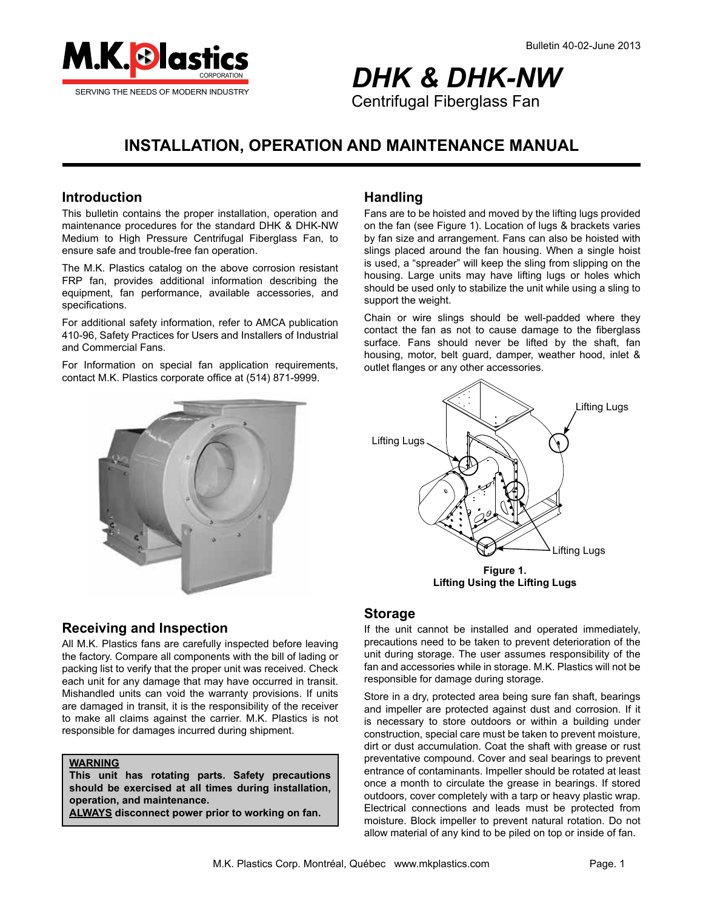

# *DHK & DHK-NW* Centrifugal Fiberglass Fan

# **INSTALLATION, OPERATION AND MAINTENANCE MANUAL**

### **Introduction**

This bulletin contains the proper installation, operation and maintenance procedures for the standard DHK & DHK-NW Medium to High Pressure Centrifugal Fiberglass Fan, to ensure safe and trouble-free fan operation.

The M.K. Plastics catalog on the above corrosion resistant FRP fan, provides additional information describing the equipment, fan performance, available accessories, and specifications.

For additional safety information, refer to AMCA publication 410-96, Safety Practices for Users and Installers of Industrial and Commercial Fans.

For Information on special fan application requirements, contact M.K. Plastics corporate office at (514) 871-9999.



### **Handling**

Fans are to be hoisted and moved by the lifting lugs provided on the fan (see Figure 1). Location of lugs & brackets varies by fan size and arrangement. Fans can also be hoisted with slings placed around the fan housing. When a single hoist is used, a "spreader" will keep the sling from slipping on the housing. Large units may have lifting lugs or holes which should be used only to stabilize the unit while using a sling to support the weight.

Chain or wire slings should be well-padded where they contact the fan as not to cause damage to the fiberglass surface. Fans should never be lifted by the shaft, fan housing, motor, belt guard, damper, weather hood, inlet & outlet flanges or any other accessories.



### **Storage**

If the unit cannot be installed and operated immediately, precautions need to be taken to prevent deterioration of the unit during storage. The user assumes responsibility of the fan and accessories while in storage. M.K. Plastics will not be responsible for damage during storage.

Store in a dry, protected area being sure fan shaft, bearings and impeller are protected against dust and corrosion. If it is necessary to store outdoors or within a building under construction, special care must be taken to prevent moisture, dirt or dust accumulation. Coat the shaft with grease or rust preventative compound. Cover and seal bearings to prevent entrance of contaminants. Impeller should be rotated at least once a month to circulate the grease in bearings. If stored outdoors, cover completely with a tarp or heavy plastic wrap. Electrical connections and leads must be protected from moisture. Block impeller to prevent natural rotation. Do not allow material of any kind to be piled on top or inside of fan.

### **Receiving and Inspection**

All M.K. Plastics fans are carefully inspected before leaving the factory. Compare all components with the bill of lading or packing list to verify that the proper unit was received. Check each unit for any damage that may have occurred in transit. Mishandled units can void the warranty provisions. If units are damaged in transit, it is the responsibility of the receiver to make all claims against the carrier. M.K. Plastics is not responsible for damages incurred during shipment.

#### **WARNING**

**This unit has rotating parts. Safety precautions should be exercised at all times during installation, operation, and maintenance.** 

**ALWAYS disconnect power prior to working on fan.**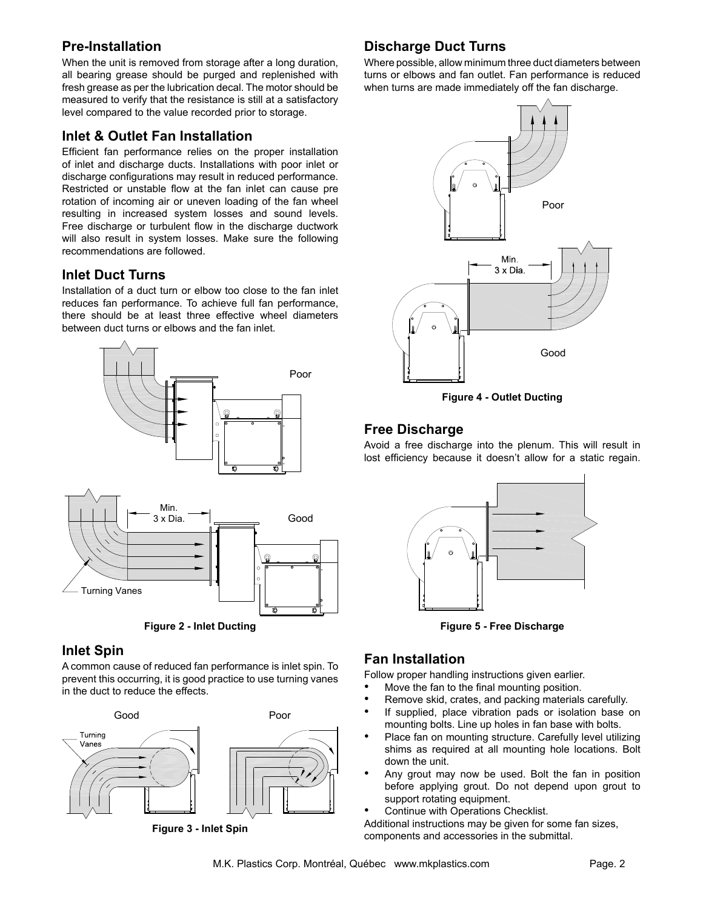### **Pre-Installation**

When the unit is removed from storage after a long duration, all bearing grease should be purged and replenished with fresh grease as per the lubrication decal. The motor should be measured to verify that the resistance is still at a satisfactory level compared to the value recorded prior to storage.

### **Inlet & Outlet Fan Installation**

Efficient fan performance relies on the proper installation of inlet and discharge ducts. Installations with poor inlet or discharge configurations may result in reduced performance. Restricted or unstable flow at the fan inlet can cause pre rotation of incoming air or uneven loading of the fan wheel resulting in increased system losses and sound levels. Free discharge or turbulent flow in the discharge ductwork will also result in system losses. Make sure the following recommendations are followed.

### **Inlet Duct Turns**

Installation of a duct turn or elbow too close to the fan inlet reduces fan performance. To achieve full fan performance, there should be at least three effective wheel diameters between duct turns or elbows and the fan inlet.



**Figure 2 - Inlet Ducting**

### **Inlet Spin**

A common cause of reduced fan performance is inlet spin. To prevent this occurring, it is good practice to use turning vanes in the duct to reduce the effects.



**Figure 3 - Inlet Spin**

## **Discharge Duct Turns**

Where possible, allow minimum three duct diameters between turns or elbows and fan outlet. Fan performance is reduced when turns are made immediately off the fan discharge.



**Figure 4 - Outlet Ducting**

### **Free Discharge**

Avoid a free discharge into the plenum. This will result in lost efficiency because it doesn't allow for a static regain.



**Figure 5 - Free Discharge**

### **Fan Installation**

Follow proper handling instructions given earlier.

- Move the fan to the final mounting position.
- Remove skid, crates, and packing materials carefully.
- If supplied, place vibration pads or isolation base on mounting bolts. Line up holes in fan base with bolts.
- Place fan on mounting structure. Carefully level utilizing shims as required at all mounting hole locations. Bolt down the unit.
- Any grout may now be used. Bolt the fan in position before applying grout. Do not depend upon grout to support rotating equipment.
- Continue with Operations Checklist.

Additional instructions may be given for some fan sizes, components and accessories in the submittal.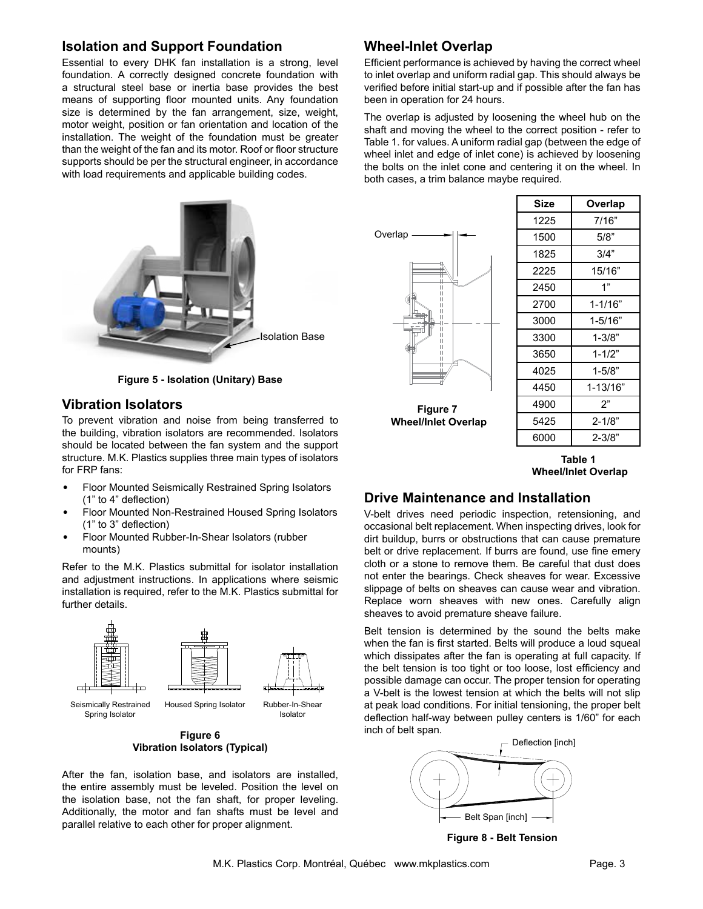### **Isolation and Support Foundation**

Essential to every DHK fan installation is a strong, level foundation. A correctly designed concrete foundation with a structural steel base or inertia base provides the best means of supporting floor mounted units. Any foundation size is determined by the fan arrangement, size, weight, motor weight, position or fan orientation and location of the installation. The weight of the foundation must be greater than the weight of the fan and its motor. Roof or floor structure supports should be per the structural engineer, in accordance with load requirements and applicable building codes.



**Figure 5 - Isolation (Unitary) Base**

### **Vibration Isolators**

To prevent vibration and noise from being transferred to the building, vibration isolators are recommended. Isolators should be located between the fan system and the support structure. M.K. Plastics supplies three main types of isolators for FRP fans:

- Floor Mounted Seismically Restrained Spring Isolators (1" to 4" deflection)
- Floor Mounted Non-Restrained Housed Spring Isolators (1" to 3" deflection)
- Floor Mounted Rubber-In-Shear Isolators (rubber mounts)

Refer to the M.K. Plastics submittal for isolator installation and adjustment instructions. In applications where seismic installation is required, refer to the M.K. Plastics submittal for further details.



Seismically Restrained Spring Isolator

Housed Spring Isolator Rubber-In-Shear

Isolator

**Figure 6 Vibration Isolators (Typical)**

After the fan, isolation base, and isolators are installed, the entire assembly must be leveled. Position the level on the isolation base, not the fan shaft, for proper leveling. Additionally, the motor and fan shafts must be level and parallel relative to each other for proper alignment.

### **Wheel-Inlet Overlap**

Efficient performance is achieved by having the correct wheel to inlet overlap and uniform radial gap. This should always be verified before initial start-up and if possible after the fan has been in operation for 24 hours.

The overlap is adjusted by loosening the wheel hub on the shaft and moving the wheel to the correct position - refer to Table 1. for values. A uniform radial gap (between the edge of wheel inlet and edge of inlet cone) is achieved by loosening the bolts on the inlet cone and centering it on the wheel. In both cases, a trim balance maybe required.



| Size | Overlap      |
|------|--------------|
| 1225 | 7/16"        |
| 1500 | 5/8"         |
| 1825 | 3/4"         |
| 2225 | 15/16"       |
| 2450 | 1"           |
| 2700 | $1 - 1/16"$  |
| 3000 | $1 - 5/16"$  |
| 3300 | $1 - 3/8"$   |
| 3650 | $1 - 1/2"$   |
| 4025 | 1-5/8"       |
| 4450 | $1 - 13/16"$ |
| 4900 | 2"           |
| 5425 | $2 - 1/8"$   |
| 6000 | $2 - 3/8"$   |

**Table 1 Wheel/Inlet Overlap**

### **Drive Maintenance and Installation**

V-belt drives need periodic inspection, retensioning, and occasional belt replacement. When inspecting drives, look for dirt buildup, burrs or obstructions that can cause premature belt or drive replacement. If burrs are found, use fine emery cloth or a stone to remove them. Be careful that dust does not enter the bearings. Check sheaves for wear. Excessive slippage of belts on sheaves can cause wear and vibration. Replace worn sheaves with new ones. Carefully align sheaves to avoid premature sheave failure.

Belt tension is determined by the sound the belts make when the fan is first started. Belts will produce a loud squeal which dissipates after the fan is operating at full capacity. If the belt tension is too tight or too loose, lost efficiency and possible damage can occur. The proper tension for operating a V-belt is the lowest tension at which the belts will not slip at peak load conditions. For initial tensioning, the proper belt deflection half-way between pulley centers is 1/60" for each inch of belt span.



**Figure 8 - Belt Tension**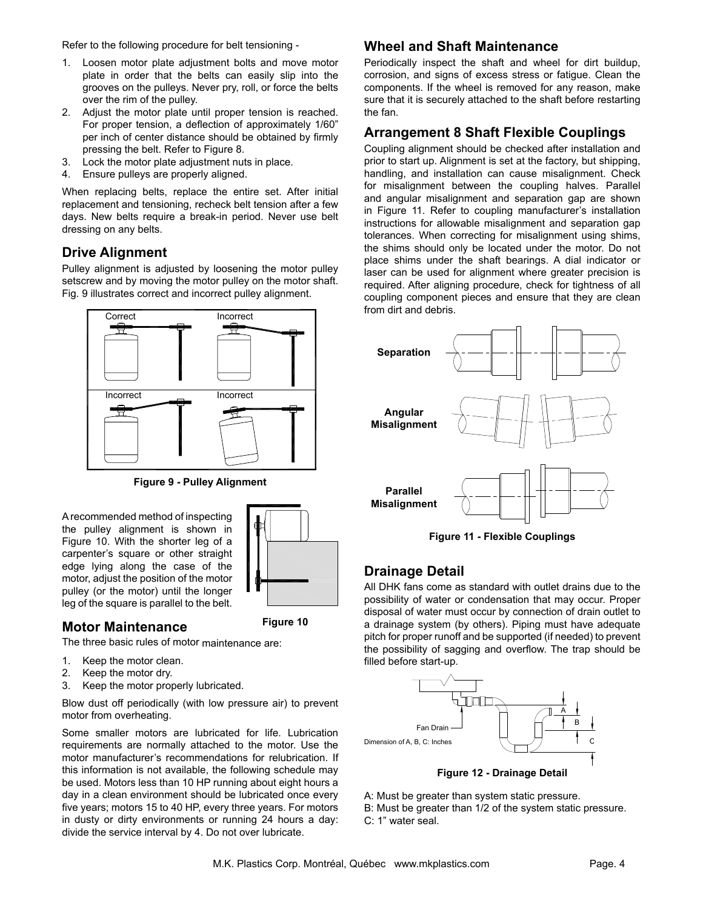Refer to the following procedure for belt tensioning -

- 1. Loosen motor plate adjustment bolts and move motor plate in order that the belts can easily slip into the grooves on the pulleys. Never pry, roll, or force the belts over the rim of the pulley.
- 2. Adjust the motor plate until proper tension is reached. For proper tension, a deflection of approximately 1/60" per inch of center distance should be obtained by firmly pressing the belt. Refer to Figure 8.
- 3. Lock the motor plate adjustment nuts in place.
- 4. Ensure pulleys are properly aligned.

When replacing belts, replace the entire set. After initial replacement and tensioning, recheck belt tension after a few days. New belts require a break-in period. Never use belt dressing on any belts.

### **Drive Alignment**

Pulley alignment is adjusted by loosening the motor pulley setscrew and by moving the motor pulley on the motor shaft. Fig. 9 illustrates correct and incorrect pulley alignment.



**Figure 9 - Pulley Alignment** 

A recommended method of inspecting the pulley alignment is shown in Figure 10. With the shorter leg of a carpenter's square or other straight edge lying along the case of the motor, adjust the position of the motor pulley (or the motor) until the longer leg of the square is parallel to the belt.



**Figure 10**

### **Motor Maintenance**

The three basic rules of motor maintenance are:

- 1. Keep the motor clean.
- 2. Keep the motor dry.
- 3. Keep the motor properly lubricated.

Blow dust off periodically (with low pressure air) to prevent motor from overheating.

Some smaller motors are lubricated for life. Lubrication requirements are normally attached to the motor. Use the motor manufacturer's recommendations for relubrication. If this information is not available, the following schedule may be used. Motors less than 10 HP running about eight hours a day in a clean environment should be lubricated once every five years; motors 15 to 40 HP, every three years. For motors in dusty or dirty environments or running 24 hours a day: divide the service interval by 4. Do not over lubricate.

### **Wheel and Shaft Maintenance**

Periodically inspect the shaft and wheel for dirt buildup, corrosion, and signs of excess stress or fatigue. Clean the components. If the wheel is removed for any reason, make sure that it is securely attached to the shaft before restarting the fan.

### **Arrangement 8 Shaft Flexible Couplings**

Coupling alignment should be checked after installation and prior to start up. Alignment is set at the factory, but shipping, handling, and installation can cause misalignment. Check for misalignment between the coupling halves. Parallel and angular misalignment and separation gap are shown in Figure 11. Refer to coupling manufacturer's installation instructions for allowable misalignment and separation gap tolerances. When correcting for misalignment using shims, the shims should only be located under the motor. Do not place shims under the shaft bearings. A dial indicator or laser can be used for alignment where greater precision is required. After aligning procedure, check for tightness of all coupling component pieces and ensure that they are clean from dirt and debris.



**Figure 11 - Flexible Couplings**

### **Drainage Detail**

All DHK fans come as standard with outlet drains due to the possibility of water or condensation that may occur. Proper disposal of water must occur by connection of drain outlet to a drainage system (by others). Piping must have adequate pitch for proper runoff and be supported (if needed) to prevent the possibility of sagging and overflow. The trap should be filled before start-up.



- 
- A: Must be greater than system static pressure.
- B: Must be greater than 1/2 of the system static pressure. C: 1" water seal.
-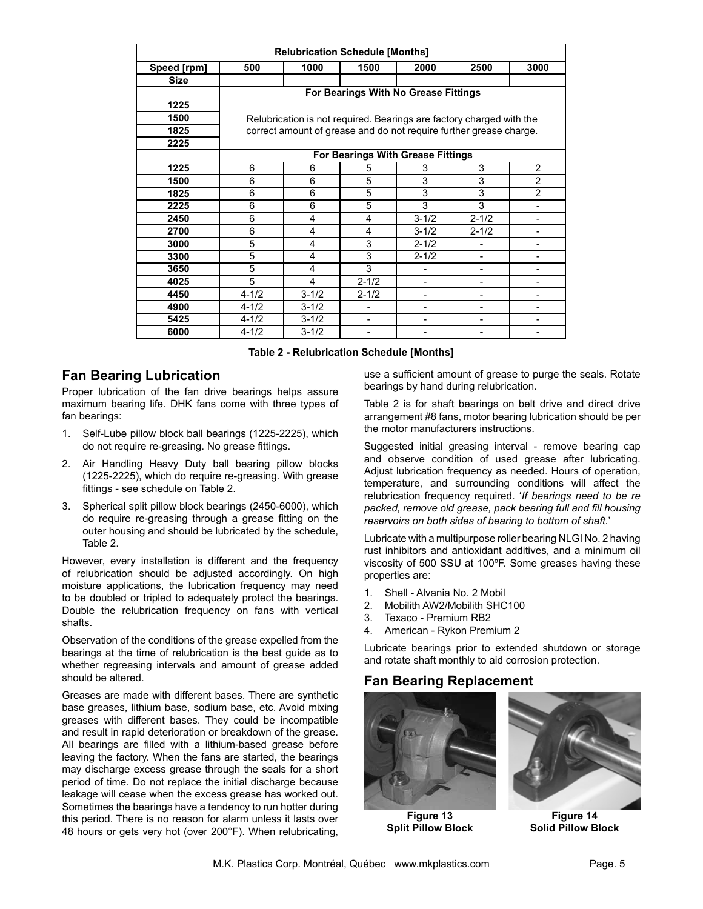| <b>Relubrication Schedule [Months]</b> |           |                |                                                                      |                          |                |                |
|----------------------------------------|-----------|----------------|----------------------------------------------------------------------|--------------------------|----------------|----------------|
| Speed [rpm]                            | 500       | 1000           | 1500                                                                 | 2000                     | 2500           | 3000           |
| <b>Size</b>                            |           |                |                                                                      |                          |                |                |
|                                        |           |                | For Bearings With No Grease Fittings                                 |                          |                |                |
| 1225                                   |           |                |                                                                      |                          |                |                |
| 1500                                   |           |                | Relubrication is not required. Bearings are factory charged with the |                          |                |                |
| 1825                                   |           |                | correct amount of grease and do not require further grease charge.   |                          |                |                |
| 2225                                   |           |                |                                                                      |                          |                |                |
|                                        |           |                | For Bearings With Grease Fittings                                    |                          |                |                |
| 1225                                   | 6         | 6              | 5                                                                    | 3                        | 3              | $\overline{2}$ |
| 1500                                   | 6         | 6              | 5                                                                    | 3                        | 3              | $\overline{2}$ |
| 1825                                   | 6         | 6              | 5                                                                    | 3                        | 3              | $\overline{2}$ |
| 2225                                   | 6         | 6              | 5                                                                    | 3                        | 3              |                |
| 2450                                   | 6         | $\overline{4}$ | 4                                                                    | $3 - 1/2$                | $2 - 1/2$      |                |
| 2700                                   | 6         | $\overline{4}$ | $\overline{4}$                                                       | $3 - 1/2$                | $2 - 1/2$      |                |
| 3000                                   | 5         | 4              | 3                                                                    | $2 - 1/2$                |                |                |
| 3300                                   | 5         | 4              | 3                                                                    | $2 - 1/2$                |                |                |
| 3650                                   | 5         | 4              | 3                                                                    |                          |                |                |
| 4025                                   | 5         | 4              | $2 - 1/2$                                                            | -                        |                |                |
| 4450                                   | $4 - 1/2$ | $3 - 1/2$      | $2 - 1/2$                                                            | $\overline{\phantom{0}}$ | $\blacksquare$ |                |
| 4900                                   | $4 - 1/2$ | $3 - 1/2$      | $\overline{\phantom{0}}$                                             | $\overline{\phantom{0}}$ | ۰              |                |
| 5425                                   | $4 - 1/2$ | $3 - 1/2$      |                                                                      |                          |                |                |
| 6000                                   | $4 - 1/2$ | $3 - 1/2$      |                                                                      |                          |                |                |

#### **Table 2 - Relubrication Schedule [Months]**

### **Fan Bearing Lubrication**

Proper lubrication of the fan drive bearings helps assure maximum bearing life. DHK fans come with three types of fan bearings:

- 1. Self-Lube pillow block ball bearings (1225-2225), which do not require re-greasing. No grease fittings.
- 2. Air Handling Heavy Duty ball bearing pillow blocks (1225-2225), which do require re-greasing. With grease fittings - see schedule on Table 2.
- 3. Spherical split pillow block bearings (2450-6000), which do require re-greasing through a grease fitting on the outer housing and should be lubricated by the schedule, Table 2.

However, every installation is different and the frequency of relubrication should be adjusted accordingly. On high moisture applications, the lubrication frequency may need to be doubled or tripled to adequately protect the bearings. Double the relubrication frequency on fans with vertical shafts.

Observation of the conditions of the grease expelled from the bearings at the time of relubrication is the best guide as to whether regreasing intervals and amount of grease added should be altered.

Greases are made with different bases. There are synthetic base greases, lithium base, sodium base, etc. Avoid mixing greases with different bases. They could be incompatible and result in rapid deterioration or breakdown of the grease. All bearings are filled with a lithium-based grease before leaving the factory. When the fans are started, the bearings may discharge excess grease through the seals for a short period of time. Do not replace the initial discharge because leakage will cease when the excess grease has worked out. Sometimes the bearings have a tendency to run hotter during this period. There is no reason for alarm unless it lasts over 48 hours or gets very hot (over 200°F). When relubricating,

use a sufficient amount of grease to purge the seals. Rotate bearings by hand during relubrication.

Table 2 is for shaft bearings on belt drive and direct drive arrangement #8 fans, motor bearing lubrication should be per the motor manufacturers instructions.

Suggested initial greasing interval - remove bearing cap and observe condition of used grease after lubricating. Adjust lubrication frequency as needed. Hours of operation, temperature, and surrounding conditions will affect the relubrication frequency required. '*If bearings need to be re packed, remove old grease, pack bearing full and fill housing reservoirs on both sides of bearing to bottom of shaft.*'

Lubricate with a multipurpose roller bearing NLGI No. 2 having rust inhibitors and antioxidant additives, and a minimum oil viscosity of 500 SSU at 100ºF. Some greases having these properties are:

- 1. Shell Alvania No. 2 Mobil
- 2. Mobilith AW2/Mobilith SHC100
- 3. Texaco Premium RB2
- 4. American Rykon Premium 2

Lubricate bearings prior to extended shutdown or storage and rotate shaft monthly to aid corrosion protection.

### **Fan Bearing Replacement**



**Figure 13 Split Pillow Block**



**Figure 14 Solid Pillow Block**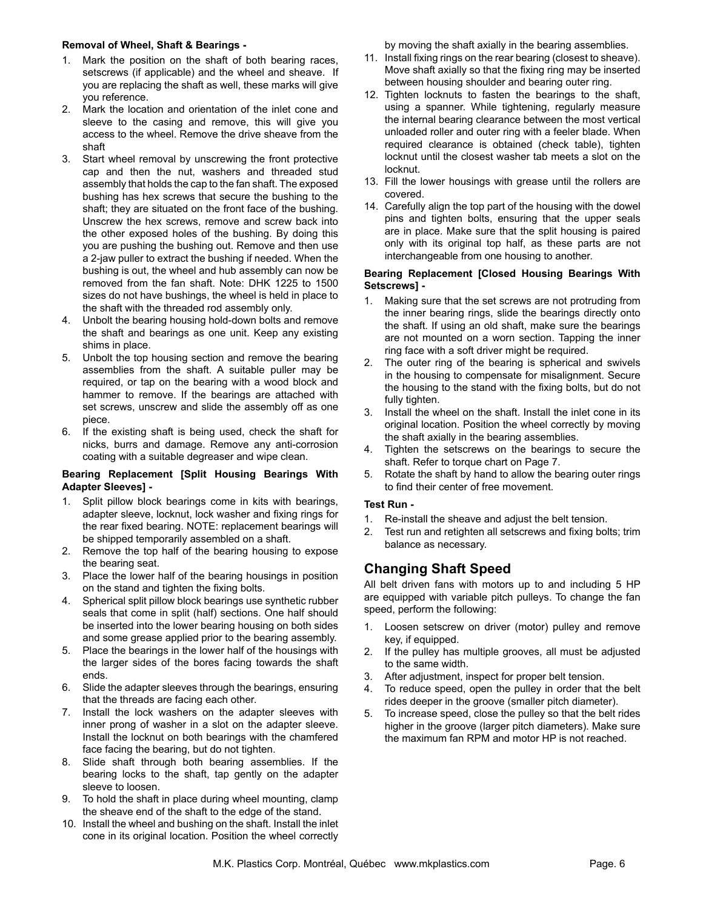#### **Removal of Wheel, Shaft & Bearings -**

- 1. Mark the position on the shaft of both bearing races, setscrews (if applicable) and the wheel and sheave. If you are replacing the shaft as well, these marks will give you reference.
- 2. Mark the location and orientation of the inlet cone and sleeve to the casing and remove, this will give you access to the wheel. Remove the drive sheave from the shaft
- 3. Start wheel removal by unscrewing the front protective cap and then the nut, washers and threaded stud assembly that holds the cap to the fan shaft. The exposed bushing has hex screws that secure the bushing to the shaft; they are situated on the front face of the bushing. Unscrew the hex screws, remove and screw back into the other exposed holes of the bushing. By doing this you are pushing the bushing out. Remove and then use a 2-jaw puller to extract the bushing if needed. When the bushing is out, the wheel and hub assembly can now be removed from the fan shaft. Note: DHK 1225 to 1500 sizes do not have bushings, the wheel is held in place to the shaft with the threaded rod assembly only.
- 4. Unbolt the bearing housing hold-down bolts and remove the shaft and bearings as one unit. Keep any existing shims in place.
- 5. Unbolt the top housing section and remove the bearing assemblies from the shaft. A suitable puller may be required, or tap on the bearing with a wood block and hammer to remove. If the bearings are attached with set screws, unscrew and slide the assembly off as one piece.
- 6. If the existing shaft is being used, check the shaft for nicks, burrs and damage. Remove any anti-corrosion coating with a suitable degreaser and wipe clean.

#### **Bearing Replacement [Split Housing Bearings With Adapter Sleeves] -**

- 1. Split pillow block bearings come in kits with bearings, adapter sleeve, locknut, lock washer and fixing rings for the rear fixed bearing. NOTE: replacement bearings will be shipped temporarily assembled on a shaft.
- 2. Remove the top half of the bearing housing to expose the bearing seat.
- 3. Place the lower half of the bearing housings in position on the stand and tighten the fixing bolts.
- 4. Spherical split pillow block bearings use synthetic rubber seals that come in split (half) sections. One half should be inserted into the lower bearing housing on both sides and some grease applied prior to the bearing assembly.
- 5. Place the bearings in the lower half of the housings with the larger sides of the bores facing towards the shaft ends.
- 6. Slide the adapter sleeves through the bearings, ensuring that the threads are facing each other.
- 7. Install the lock washers on the adapter sleeves with inner prong of washer in a slot on the adapter sleeve. Install the locknut on both bearings with the chamfered face facing the bearing, but do not tighten.
- 8. Slide shaft through both bearing assemblies. If the bearing locks to the shaft, tap gently on the adapter sleeve to loosen.
- 9. To hold the shaft in place during wheel mounting, clamp the sheave end of the shaft to the edge of the stand.
- 10. Install the wheel and bushing on the shaft. Install the inlet cone in its original location. Position the wheel correctly

by moving the shaft axially in the bearing assemblies.

- 11. Install fixing rings on the rear bearing (closest to sheave). Move shaft axially so that the fixing ring may be inserted between housing shoulder and bearing outer ring.
- 12. Tighten locknuts to fasten the bearings to the shaft, using a spanner. While tightening, regularly measure the internal bearing clearance between the most vertical unloaded roller and outer ring with a feeler blade. When required clearance is obtained (check table), tighten locknut until the closest washer tab meets a slot on the locknut.
- 13. Fill the lower housings with grease until the rollers are covered.
- 14. Carefully align the top part of the housing with the dowel pins and tighten bolts, ensuring that the upper seals are in place. Make sure that the split housing is paired only with its original top half, as these parts are not interchangeable from one housing to another.

#### **Bearing Replacement [Closed Housing Bearings With Setscrews] -**

- 1. Making sure that the set screws are not protruding from the inner bearing rings, slide the bearings directly onto the shaft. If using an old shaft, make sure the bearings are not mounted on a worn section. Tapping the inner ring face with a soft driver might be required.
- The outer ring of the bearing is spherical and swivels in the housing to compensate for misalignment. Secure the housing to the stand with the fixing bolts, but do not fully tighten.
- 3. Install the wheel on the shaft. Install the inlet cone in its original location. Position the wheel correctly by moving the shaft axially in the bearing assemblies.
- 4. Tighten the setscrews on the bearings to secure the shaft. Refer to torque chart on Page 7.
- 5. Rotate the shaft by hand to allow the bearing outer rings to find their center of free movement.

#### **Test Run -**

- 1. Re-install the sheave and adjust the belt tension.
- 2. Test run and retighten all setscrews and fixing bolts; trim balance as necessary.

### **Changing Shaft Speed**

All belt driven fans with motors up to and including 5 HP are equipped with variable pitch pulleys. To change the fan speed, perform the following:

- 1. Loosen setscrew on driver (motor) pulley and remove key, if equipped.
- 2. If the pulley has multiple grooves, all must be adjusted to the same width.
- 3. After adjustment, inspect for proper belt tension.
- 4. To reduce speed, open the pulley in order that the belt rides deeper in the groove (smaller pitch diameter).
- 5. To increase speed, close the pulley so that the belt rides higher in the groove (larger pitch diameters). Make sure the maximum fan RPM and motor HP is not reached.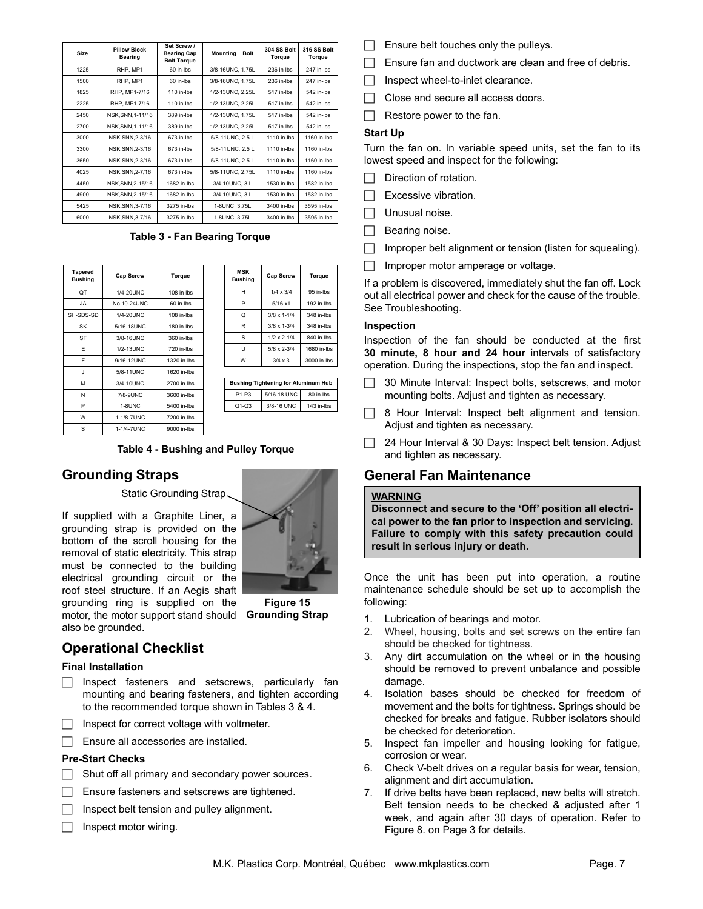| <b>Size</b> | <b>Pillow Block</b><br><b>Bearing</b> | Set Screw /<br><b>Bearing Cap</b><br><b>Bolt Torque</b> | <b>Mounting</b><br><b>Bolt</b> | 304 SS Bolt<br>Torque | 316 SS Bolt<br>Torque |
|-------------|---------------------------------------|---------------------------------------------------------|--------------------------------|-----------------------|-----------------------|
| 1225        | RHP, MP1                              | 60 in-Ibs                                               | 3/8-16UNC, 1.75L               | 236 in-lbs            | 247 in-lbs            |
| 1500        | RHP. MP1                              | 60 in-lbs                                               | 3/8-16UNC, 1.75L               | 236 in-lbs            | 247 in-Ibs            |
| 1825        | RHP, MP1-7/16                         | 110 in-lbs                                              | 1/2-13UNC, 2.25L               | 517 in-lbs            | 542 in-Ibs            |
| 2225        | RHP. MP1-7/16                         | $110$ in-lbs                                            | 1/2-13UNC, 2.25L               | 517 in-lbs            | 542 in-lbs            |
| 2450        | NSK, SNN, 1-11/16                     | 389 in-lbs                                              | 1/2-13UNC, 1.75L               | 517 in-lbs            | 542 in-Ibs            |
| 2700        | NSK.SNN.1-11/16                       | 389 in-lbs                                              | 1/2-13UNC, 2.25L               | 517 in-lbs            | 542 in-Ibs            |
| 3000        | NSK.SNN.2-3/16                        | 673 in-lbs                                              | 5/8-11UNC, 2.5 L               | 1110 in-lbs           | 1160 in-lbs           |
| 3300        | NSK.SNN.2-3/16                        | 673 in-Ibs                                              | 5/8-11UNC, 2.5 L               | 1110 in-lbs           | 1160 in-lbs           |
| 3650        | NSK.SNN.2-3/16                        | 673 in-Ibs                                              | 5/8-11UNC, 2.5 L               | 1110 in-lbs           | 1160 in-lbs           |
| 4025        | NSK.SNN.2-7/16                        | 673 in-lbs                                              | 5/8-11UNC, 2.75L               | 1110 in-lbs           | 1160 in-lbs           |
| 4450        | NSK, SNN, 2-15/16                     | 1682 in-lbs                                             | 3/4-10UNC, 3 L                 | 1530 in-lbs           | 1582 in-lbs           |
| 4900        | NSK.SNN.2-15/16                       | 1682 in-lbs                                             | 3/4-10UNC, 3 L                 | 1530 in-lbs           | 1582 in-lbs           |
| 5425        | NSK.SNN.3-7/16                        | 3275 in-lbs                                             | 1-8UNC, 3.75L                  | 3400 in-lbs           | 3595 in-lbs           |
| 6000        | NSK.SNN.3-7/16                        | 3275 in-lbs                                             | 1-8UNC, 3.75L                  | 3400 in-lbs           | 3595 in-lbs           |

Table 3 - Fan Bearing Torque

| <b>Tapered</b><br><b>Bushing</b> | Cap Screw   | Torque       | <b>MSK</b><br><b>Bushing</b> | Cap Screw                                  | Torque      |
|----------------------------------|-------------|--------------|------------------------------|--------------------------------------------|-------------|
| QT                               | 1/4-20UNC   | 108 in-lbs   | H                            | $1/4 \times 3/4$                           | 95 in-lbs   |
| JA                               | No.10-24UNC | 60 in-Ibs    | P                            | 5/16x1                                     | 192 in-lbs  |
| SH-SDS-SD                        | 1/4-20UNC   | 108 in-lbs   | Q                            | $3/8 \times 1 - 1/4$                       | 348 in-lbs  |
| SK                               | 5/16-18UNC  | $180$ in-lbs | R                            | $3/8 \times 1 - 3/4$                       | 348 in-lbs  |
| SF                               | 3/8-16UNC   | 360 in-lbs   | S                            | $1/2 \times 2 - 1/4$                       | 840 in-lbs  |
| F                                | 1/2-13UNC   | 720 in-lbs   | U                            | $5/8 \times 2 - 3/4$                       | 1680 in-lbs |
| F                                | 9/16-12UNC  | 1320 in-lbs  | W                            | $3/4 \times 3$                             | 3000 in-lbs |
| J                                | 5/8-11UNC   | 1620 in-lbs  |                              |                                            |             |
| M                                | 3/4-10UNC   | 2700 in-lbs  |                              | <b>Bushing Tightening for Aluminum Hub</b> |             |
| N                                | 7/8-9UNC    | 3600 in-lbs  | $P1-P3$                      | 5/16-18 UNC                                | 80 in-lbs   |
| P                                | 1-8UNC      | 5400 in-lbs  | $Q1-Q3$                      | 3/8-16 UNC                                 | 143 in-lbs  |
| W                                | 1-1/8-7UNC  | 7200 in-lbs  |                              |                                            |             |
| S                                | 1-1/4-7UNC  | 9000 in-lbs  |                              |                                            |             |

| <b>MSK</b><br><b>Bushing</b> | <b>Cap Screw</b>     | Torque      |
|------------------------------|----------------------|-------------|
| Н                            | $1/4 \times 3/4$     | 95 in-Ibs   |
| P                            | 5/16x1               | 192 in-lbs  |
| Q                            | $3/8 \times 1 - 1/4$ | 348 in-lbs  |
| R                            | $3/8 \times 1 - 3/4$ | 348 in-lbs  |
| S                            | $1/2 \times 2 - 1/4$ | 840 in-lbs  |
| U                            | $5/8 \times 2 - 3/4$ | 1680 in-lbs |
| W                            | $3/4 \times 3$       | 3000 in-lbs |

| <b>Bushing Tightening for Aluminum Hub</b> |             |            |
|--------------------------------------------|-------------|------------|
| P <sub>1-P3</sub>                          | 5/16-18 UNC | 80 in-lbs  |
| $O1-O3$                                    | 3/8-16 UNC  | 143 in-lbs |

**Table 4 - Bushing and Pulley Torque**

### **Grounding Straps**

Static Grounding Strap.

If supplied with a Graphite Liner, a grounding strap is provided on the bottom of the scroll housing for the removal of static electricity. This strap must be connected to the building electrical grounding circuit or the roof steel structure. If an Aegis shaft grounding ring is supplied on the motor, the motor support stand should **Grounding Strap**also be grounded.



**Figure 15** 

## **Operational Checklist**

#### **Final Installation**

- $\Box$  Inspect fasteners and setscrews, particularly fan mounting and bearing fasteners, and tighten according to the recommended torque shown in Tables 3 & 4.
- Inspect for correct voltage with voltmeter.
- $\Box$  Ensure all accessories are installed.

#### **Pre-Start Checks**

- $\Box$  Shut off all primary and secondary power sources.
- $\Box$  Ensure fasteners and setscrews are tightened.
- $\Box$  Inspect belt tension and pulley alignment.
- $\Box$  Inspect motor wiring.
- Ensure belt touches only the pulleys.
- Ensure fan and ductwork are clean and free of debris.
- Inspect wheel-to-inlet clearance.
- $\Box$  Close and secure all access doors.
- $\Box$  Restore power to the fan.

#### **Start Up**

Turn the fan on. In variable speed units, set the fan to its lowest speed and inspect for the following:

- Direction of rotation.
- $\Box$  Excessive vibration.
- $\Box$  Unusual noise.
- $\Box$  Bearing noise.
- Improper belt alignment or tension (listen for squealing).
- Improper motor amperage or voltage.

If a problem is discovered, immediately shut the fan off. Lock out all electrical power and check for the cause of the trouble. See Troubleshooting.

#### **Inspection**

Inspection of the fan should be conducted at the first **30 minute, 8 hour and 24 hour** intervals of satisfactory operation. During the inspections, stop the fan and inspect.

- $\Box$  30 Minute Interval: Inspect bolts, setscrews, and motor mounting bolts. Adjust and tighten as necessary.
- $\Box$  8 Hour Interval: Inspect belt alignment and tension. Adjust and tighten as necessary.
- $\Box$  24 Hour Interval & 30 Days: Inspect belt tension. Adjust and tighten as necessary.

### **General Fan Maintenance**

#### **WARNING**

**Disconnect and secure to the 'Off' position all electrical power to the fan prior to inspection and servicing. Failure to comply with this safety precaution could result in serious injury or death.**

Once the unit has been put into operation, a routine maintenance schedule should be set up to accomplish the following:

- 1. Lubrication of bearings and motor.
- 2. Wheel, housing, bolts and set screws on the entire fan should be checked for tightness.
- 3. Any dirt accumulation on the wheel or in the housing should be removed to prevent unbalance and possible damage.
- 4. Isolation bases should be checked for freedom of movement and the bolts for tightness. Springs should be checked for breaks and fatigue. Rubber isolators should be checked for deterioration.
- 5. Inspect fan impeller and housing looking for fatigue, corrosion or wear.
- 6. Check V-belt drives on a regular basis for wear, tension, alignment and dirt accumulation.
- 7. If drive belts have been replaced, new belts will stretch. Belt tension needs to be checked & adjusted after 1 week, and again after 30 days of operation. Refer to Figure 8. on Page 3 for details.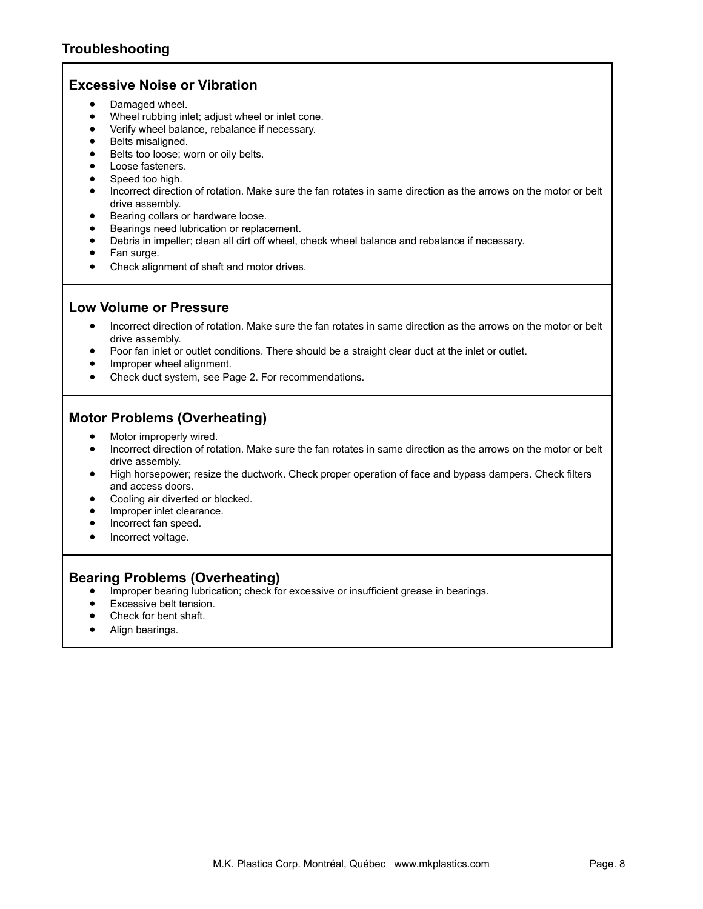### **Excessive Noise or Vibration**

- Damaged wheel.
- Wheel rubbing inlet; adjust wheel or inlet cone.
- • Verify wheel balance, rebalance if necessary.
- Belts misaligned.
- Belts too loose; worn or oily belts.
- Loose fasteners.
- Speed too high.
- Incorrect direction of rotation. Make sure the fan rotates in same direction as the arrows on the motor or belt drive assembly.
- • Bearing collars or hardware loose.
- Bearings need lubrication or replacement.
- Debris in impeller; clean all dirt off wheel, check wheel balance and rebalance if necessary.
- Fan surge.
- Check alignment of shaft and motor drives.

### **Low Volume or Pressure**

- Incorrect direction of rotation. Make sure the fan rotates in same direction as the arrows on the motor or belt drive assembly.
- Poor fan inlet or outlet conditions. There should be a straight clear duct at the inlet or outlet.
- Improper wheel alignment.
- Check duct system, see Page 2. For recommendations.

### **Motor Problems (Overheating)**

- Motor improperly wired.
- Incorrect direction of rotation. Make sure the fan rotates in same direction as the arrows on the motor or belt drive assembly.
- High horsepower; resize the ductwork. Check proper operation of face and bypass dampers. Check filters and access doors.
- Cooling air diverted or blocked.
- Improper inlet clearance.
- Incorrect fan speed.
- Incorrect voltage.

### **Bearing Problems (Overheating)**

- Improper bearing lubrication; check for excessive or insufficient grease in bearings.
- Excessive belt tension.
- Check for bent shaft.
- Align bearings.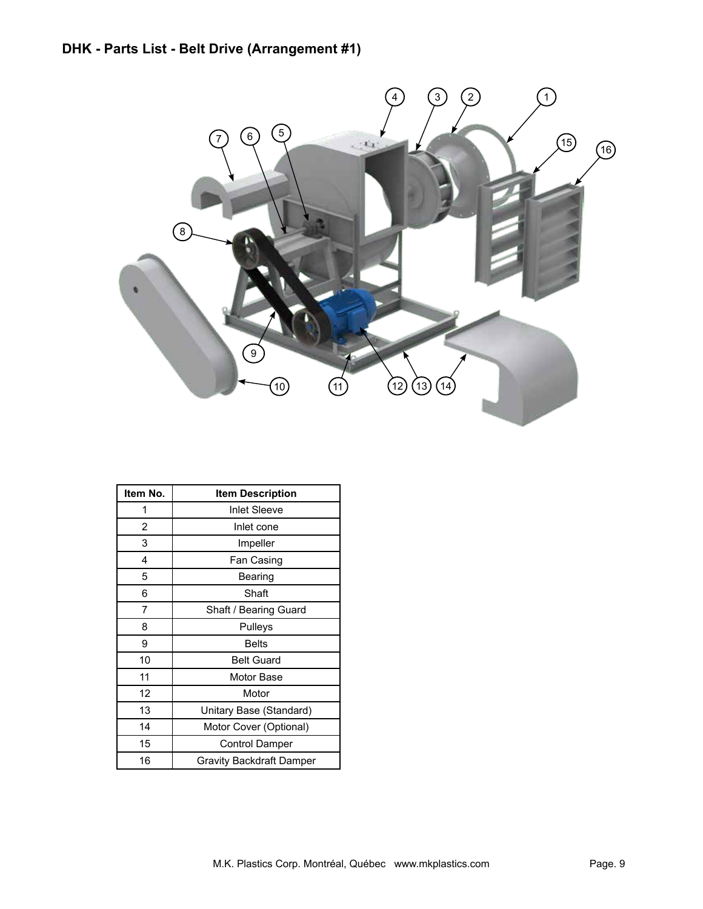

| Item No. | <b>Item Description</b>  |
|----------|--------------------------|
| 1        | <b>Inlet Sleeve</b>      |
| 2        | Inlet cone               |
| 3        | Impeller                 |
| 4        | Fan Casing               |
| 5        | Bearing                  |
| 6        | Shaft                    |
| 7        | Shaft / Bearing Guard    |
| 8        | Pulleys                  |
| 9        | <b>Belts</b>             |
| 10       | <b>Belt Guard</b>        |
| 11       | Motor Base               |
| 12       | Motor                    |
| 13       | Unitary Base (Standard)  |
| 14       | Motor Cover (Optional)   |
| 15       | <b>Control Damper</b>    |
| 16       | Gravity Backdraft Damper |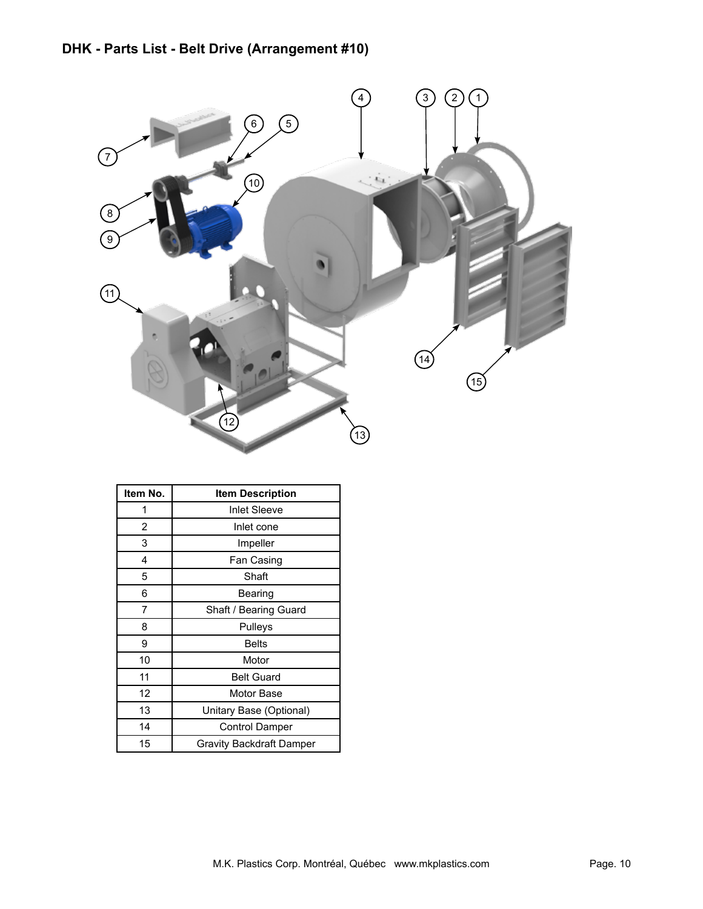

| Item No.       | <b>Item Description</b>  |
|----------------|--------------------------|
|                | <b>Inlet Sleeve</b>      |
| $\overline{2}$ | Inlet cone               |
| 3              | Impeller                 |
| 4              | Fan Casing               |
| 5              | Shaft                    |
| 6              | Bearing                  |
| 7              | Shaft / Bearing Guard    |
| 8              | Pulleys                  |
| 9              | <b>Belts</b>             |
| 10             | Motor                    |
| 11             | <b>Belt Guard</b>        |
| 12             | Motor Base               |
| 13             | Unitary Base (Optional)  |
| 14             | <b>Control Damper</b>    |
| 15             | Gravity Backdraft Damper |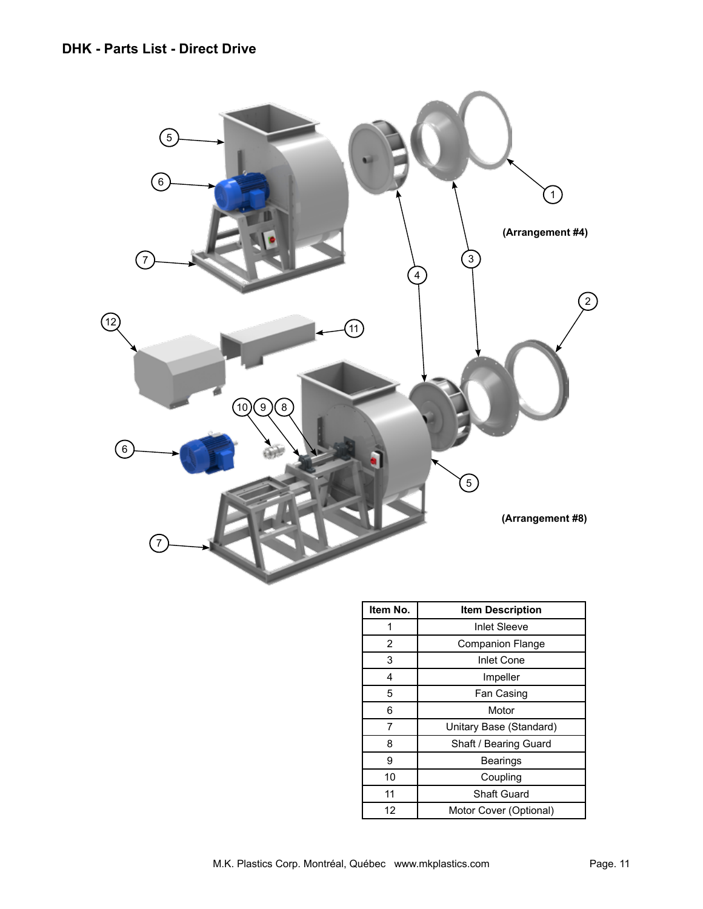

| Item No. | <b>Item Description</b> |
|----------|-------------------------|
|          | <b>Inlet Sleeve</b>     |
| 2        | <b>Companion Flange</b> |
| 3        | <b>Inlet Cone</b>       |
| 4        | Impeller                |
| 5        | Fan Casing              |
| 6        | Motor                   |
| 7        | Unitary Base (Standard) |
| 8        | Shaft / Bearing Guard   |
| 9        | <b>Bearings</b>         |
| 10       | Coupling                |
| 11       | Shaft Guard             |
| 12       | Motor Cover (Optional)  |